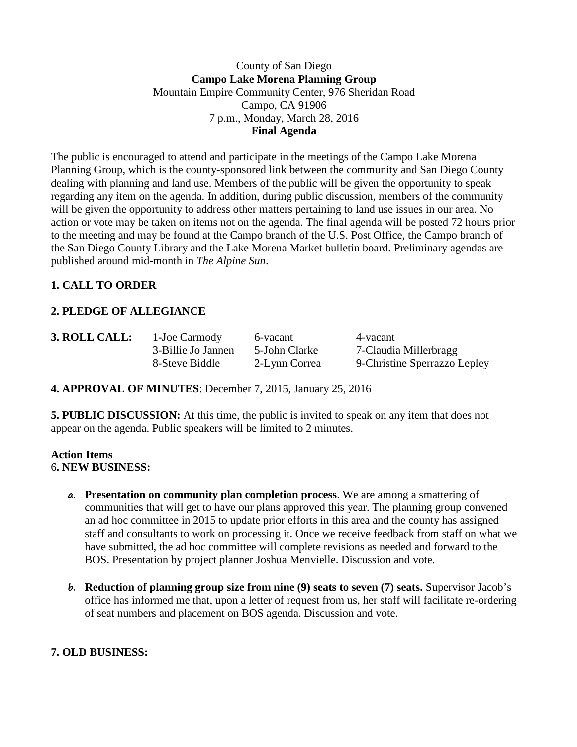## County of San Diego **Campo Lake Morena Planning Group** Mountain Empire Community Center, 976 Sheridan Road Campo, CA 91906 7 p.m., Monday, March 28, 2016 **Final Agenda**

The public is encouraged to attend and participate in the meetings of the Campo Lake Morena Planning Group, which is the county-sponsored link between the community and San Diego County dealing with planning and land use. Members of the public will be given the opportunity to speak regarding any item on the agenda. In addition, during public discussion, members of the community will be given the opportunity to address other matters pertaining to land use issues in our area. No action or vote may be taken on items not on the agenda. The final agenda will be posted 72 hours prior to the meeting and may be found at the Campo branch of the U.S. Post Office, the Campo branch of the San Diego County Library and the Lake Morena Market bulletin board. Preliminary agendas are published around mid-month in *The Alpine Sun*.

## **1. CALL TO ORDER**

# **2. PLEDGE OF ALLEGIANCE**

**3. ROLL CALL:** 1-Joe Carmody 6-vacant 4-vacant

3-Billie Jo Jannen 5-John Clarke 7-Claudia Millerbragg 8-Steve Biddle 2-Lynn Correa 9-Christine Sperrazzo Lepley

**4. APPROVAL OF MINUTES**: December 7, 2015, January 25, 2016

**5. PUBLIC DISCUSSION:** At this time, the public is invited to speak on any item that does not appear on the agenda. Public speakers will be limited to 2 minutes.

## **Action Items** 6**. NEW BUSINESS:**

- **a. Presentation on community plan completion process**. We are among a smattering of communities that will get to have our plans approved this year. The planning group convened an ad hoc committee in 2015 to update prior efforts in this area and the county has assigned staff and consultants to work on processing it. Once we receive feedback from staff on what we have submitted, the ad hoc committee will complete revisions as needed and forward to the BOS. Presentation by project planner Joshua Menvielle. Discussion and vote.
- **b. Reduction of planning group size from nine (9) seats to seven (7) seats.** Supervisor Jacob's office has informed me that, upon a letter of request from us, her staff will facilitate re-ordering of seat numbers and placement on BOS agenda. Discussion and vote.

## **7. OLD BUSINESS:**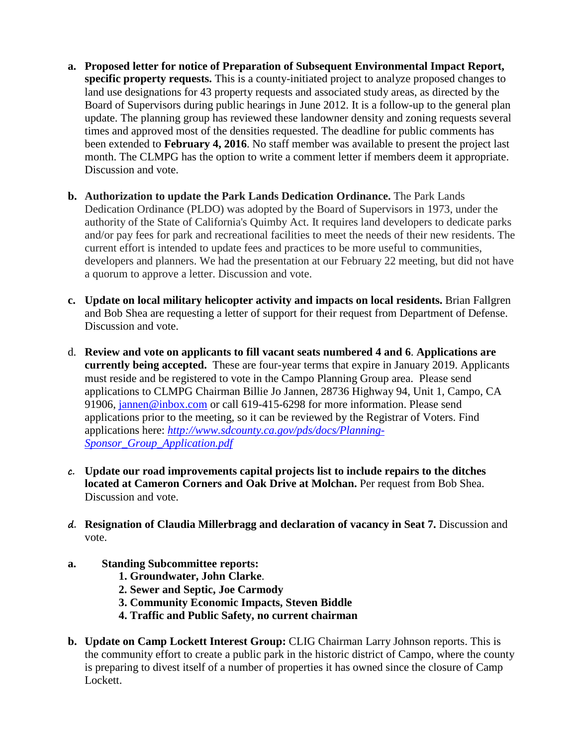- **a. Proposed letter for notice of Preparation of Subsequent Environmental Impact Report, specific property requests.** This is a county-initiated project to analyze proposed changes to land use designations for 43 property requests and associated study areas, as directed by the Board of Supervisors during public hearings in June 2012. It is a follow-up to the general plan update. The planning group has reviewed these landowner density and zoning requests several times and approved most of the densities requested. The deadline for public comments has been extended to **February 4, 2016**. No staff member was available to present the project last month. The CLMPG has the option to write a comment letter if members deem it appropriate. Discussion and vote.
- **b. Authorization to update the Park Lands Dedication Ordinance.** The Park Lands Dedication Ordinance (PLDO) was adopted by the Board of Supervisors in 1973, under the authority of the State of California's Quimby Act. It requires land developers to dedicate parks and/or pay fees for park and recreational facilities to meet the needs of their new residents. The current effort is intended to update fees and practices to be more useful to communities, developers and planners. We had the presentation at our February 22 meeting, but did not have a quorum to approve a letter. Discussion and vote.
- **c. Update on local military helicopter activity and impacts on local residents.** Brian Fallgren and Bob Shea are requesting a letter of support for their request from Department of Defense. Discussion and vote.
- d. **Review and vote on applicants to fill vacant seats numbered 4 and 6**. **Applications are currently being accepted.** These are four-year terms that expire in January 2019. Applicants must reside and be registered to vote in the Campo Planning Group area. Please send applications to CLMPG Chairman Billie Jo Jannen, 28736 Highway 94, Unit 1, Campo, CA 91906, [jannen@inbox.com](mailto:campojoe@yahoo.com) or call 619-415-6298 for more information. Please send applications prior to the meeting, so it can be reviewed by the Registrar of Voters. Find applications here: *[http://www.sdcounty.ca.gov/pds/docs/Planning-](http://www.sdcounty.ca.gov/pds/docs/Planning-Sponsor_Group_Application.pdf)[Sponsor\\_Group\\_Application.pdf](http://www.sdcounty.ca.gov/pds/docs/Planning-Sponsor_Group_Application.pdf)*
- **c. Update our road improvements capital projects list to include repairs to the ditches located at Cameron Corners and Oak Drive at Molchan.** Per request from Bob Shea. Discussion and vote.
- **d. Resignation of Claudia Millerbragg and declaration of vacancy in Seat 7.** Discussion and vote.
- **a. Standing Subcommittee reports:**
	- **1. Groundwater, John Clarke**.
	- **2. Sewer and Septic, Joe Carmody**
	- **3. Community Economic Impacts, Steven Biddle**
	- **4. Traffic and Public Safety, no current chairman**
- **b. Update on Camp Lockett Interest Group:** CLIG Chairman Larry Johnson reports. This is the community effort to create a public park in the historic district of Campo, where the county is preparing to divest itself of a number of properties it has owned since the closure of Camp Lockett.